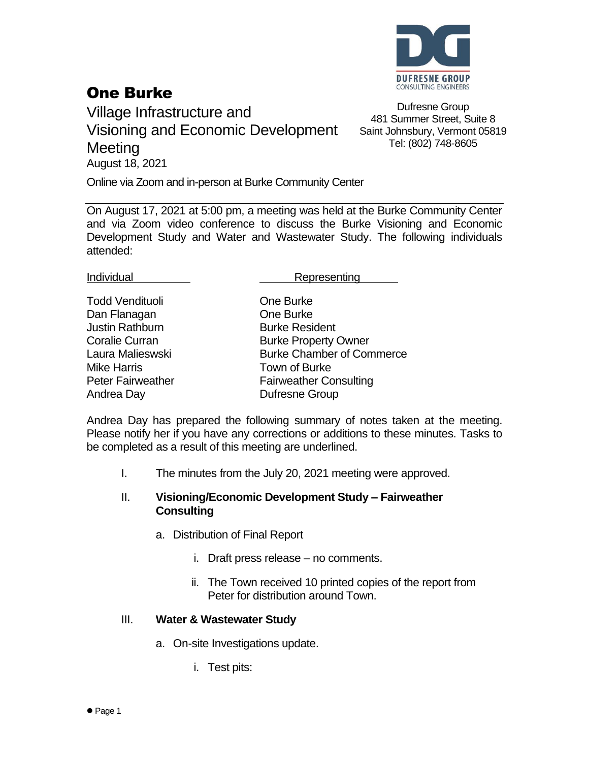

# One Burke

Village Infrastructure and Visioning and Economic Development **Meeting** August 18, 2021

Dufresne Group 481 Summer Street, Suite 8 Saint Johnsbury, Vermont 05819 Tel: (802) 748-8605

Online via Zoom and in-person at Burke Community Center

On August 17, 2021 at 5:00 pm, a meeting was held at the Burke Community Center and via Zoom video conference to discuss the Burke Visioning and Economic Development Study and Water and Wastewater Study. The following individuals attended:

Individual **Representing** 

Todd Vendituoli **Communist Communist Communist Communist Communist Communist Communist Communist Communist Communist Communist Communist Communist Communist Communist Communist Communist Communist Communist Communist Commu** Dan Flanagan **Dan Flanagan** One Burke **Justin Rathburn Communisty Burke Resident** Mike Harris **Town of Burke** Andrea Day **Dufresne Group** 

Coralie Curran **Burke Property Owner** Laura Malieswski Burke Chamber of Commerce Peter Fairweather Fairweather Consulting

Andrea Day has prepared the following summary of notes taken at the meeting. Please notify her if you have any corrections or additions to these minutes. Tasks to be completed as a result of this meeting are underlined.

I. The minutes from the July 20, 2021 meeting were approved.

### II. **Visioning/Economic Development Study – Fairweather Consulting**

- a. Distribution of Final Report
	- i. Draft press release no comments.
	- ii. The Town received 10 printed copies of the report from Peter for distribution around Town.

### III. **Water & Wastewater Study**

- a. On-site Investigations update.
	- i. Test pits: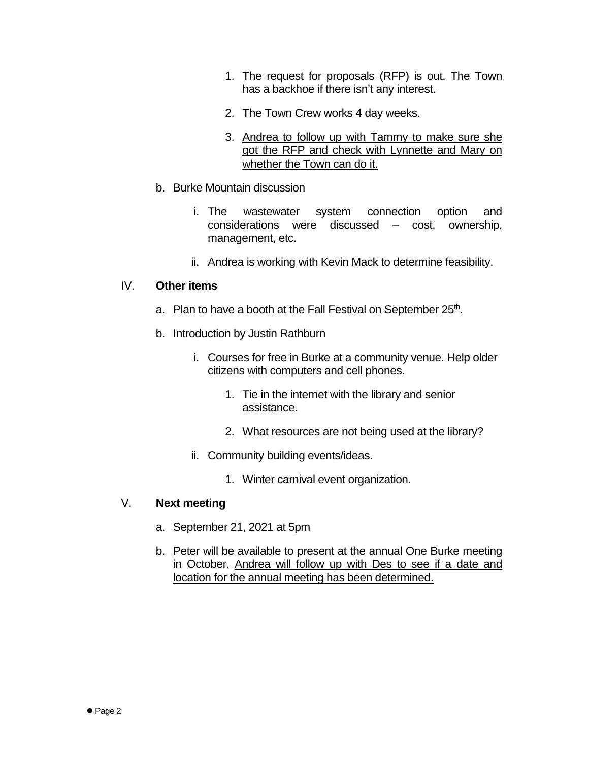- 1. The request for proposals (RFP) is out. The Town has a backhoe if there isn't any interest.
- 2. The Town Crew works 4 day weeks.
- 3. Andrea to follow up with Tammy to make sure she got the RFP and check with Lynnette and Mary on whether the Town can do it.
- b. Burke Mountain discussion
	- i. The wastewater system connection option and considerations were discussed – cost, ownership, management, etc.
	- ii. Andrea is working with Kevin Mack to determine feasibility.

### IV. **Other items**

- a. Plan to have a booth at the Fall Festival on September 25<sup>th</sup>.
- b. Introduction by Justin Rathburn
	- i. Courses for free in Burke at a community venue. Help older citizens with computers and cell phones.
		- 1. Tie in the internet with the library and senior assistance.
		- 2. What resources are not being used at the library?
	- ii. Community building events/ideas.
		- 1. Winter carnival event organization.

## V. **Next meeting**

- a. September 21, 2021 at 5pm
- b. Peter will be available to present at the annual One Burke meeting in October. Andrea will follow up with Des to see if a date and location for the annual meeting has been determined.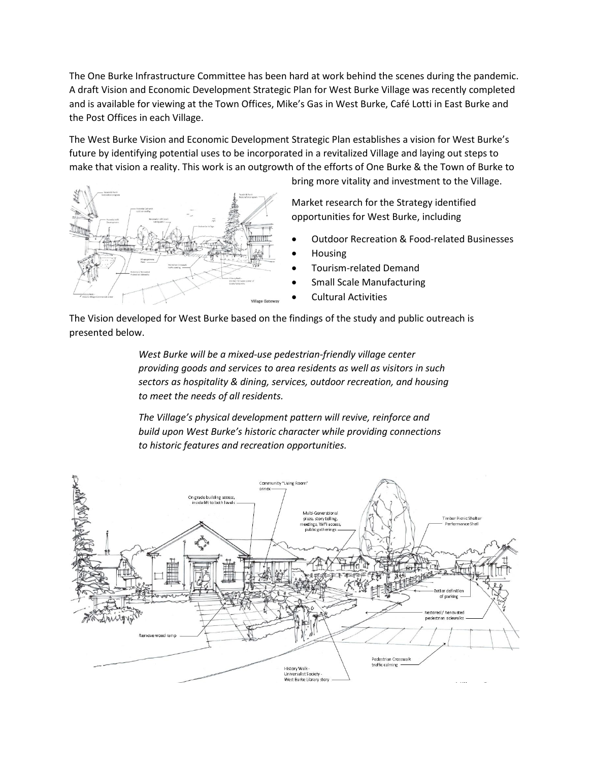The One Burke Infrastructure Committee has been hard at work behind the scenes during the pandemic. A draft Vision and Economic Development Strategic Plan for West Burke Village was recently completed and is available for viewing at the Town Offices, Mike's Gas in West Burke, Café Lotti in East Burke and the Post Offices in each Village.

The West Burke Vision and Economic Development Strategic Plan establishes a vision for West Burke's future by identifying potential uses to be incorporated in a revitalized Village and laying out steps to make that vision a reality. This work is an outgrowth of the efforts of One Burke & the Town of Burke to



bring more vitality and investment to the Village.

Market research for the Strategy identified opportunities for West Burke, including

- Outdoor Recreation & Food-related Businesses
- Housing
- Tourism-related Demand
- Small Scale Manufacturing
- Cultural Activities

The Vision developed for West Burke based on the findings of the study and public outreach is presented below.

> *West Burke will be a mixed-use pedestrian-friendly village center providing goods and services to area residents as well as visitors in such sectors as hospitality & dining, services, outdoor recreation, and housing to meet the needs of all residents.*

*The Village's physical development pattern will revive, reinforce and build upon West Burke's historic character while providing connections to historic features and recreation opportunities.*